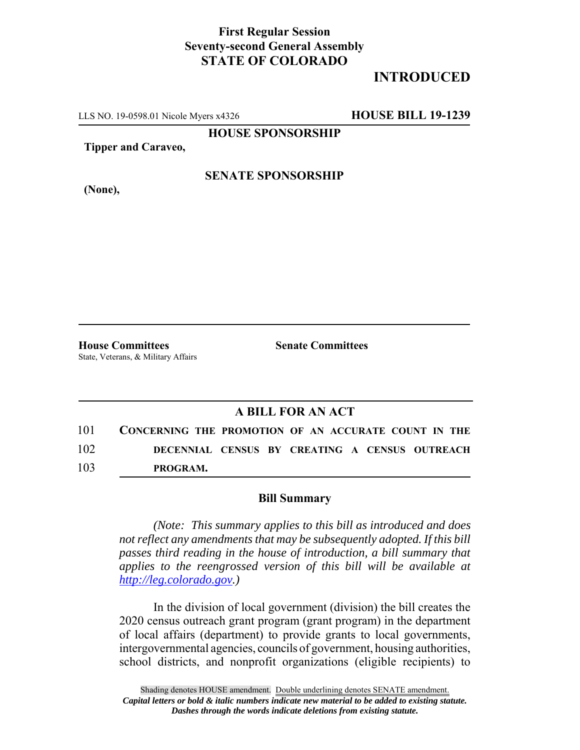## **First Regular Session Seventy-second General Assembly STATE OF COLORADO**

# **INTRODUCED**

LLS NO. 19-0598.01 Nicole Myers x4326 **HOUSE BILL 19-1239**

**HOUSE SPONSORSHIP**

**Tipper and Caraveo,**

**(None),**

#### **SENATE SPONSORSHIP**

**House Committees Senate Committees** State, Veterans, & Military Affairs

### **A BILL FOR AN ACT**

101 **CONCERNING THE PROMOTION OF AN ACCURATE COUNT IN THE** 102 **DECENNIAL CENSUS BY CREATING A CENSUS OUTREACH**  103 **PROGRAM.**

#### **Bill Summary**

*(Note: This summary applies to this bill as introduced and does not reflect any amendments that may be subsequently adopted. If this bill passes third reading in the house of introduction, a bill summary that applies to the reengrossed version of this bill will be available at http://leg.colorado.gov.)*

In the division of local government (division) the bill creates the 2020 census outreach grant program (grant program) in the department of local affairs (department) to provide grants to local governments, intergovernmental agencies, councils of government, housing authorities, school districts, and nonprofit organizations (eligible recipients) to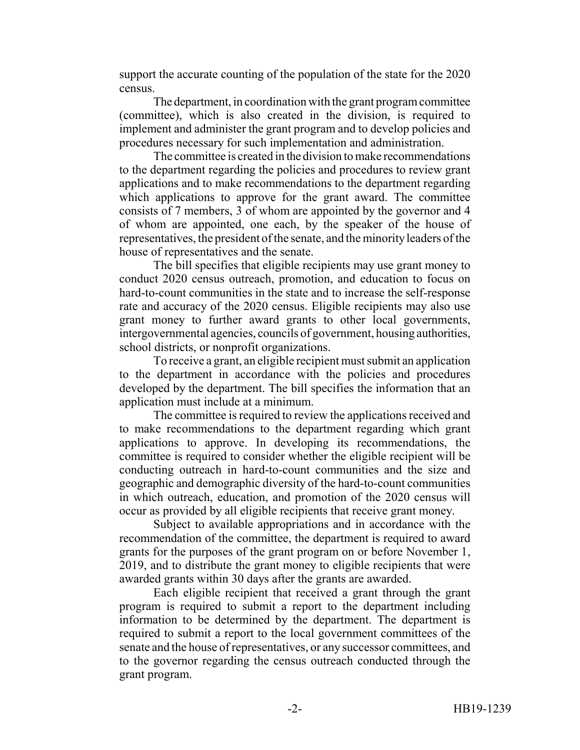support the accurate counting of the population of the state for the 2020 census.

The department, in coordination with the grant program committee (committee), which is also created in the division, is required to implement and administer the grant program and to develop policies and procedures necessary for such implementation and administration.

The committee is created in the division to make recommendations to the department regarding the policies and procedures to review grant applications and to make recommendations to the department regarding which applications to approve for the grant award. The committee consists of 7 members, 3 of whom are appointed by the governor and 4 of whom are appointed, one each, by the speaker of the house of representatives, the president of the senate, and the minority leaders of the house of representatives and the senate.

The bill specifies that eligible recipients may use grant money to conduct 2020 census outreach, promotion, and education to focus on hard-to-count communities in the state and to increase the self-response rate and accuracy of the 2020 census. Eligible recipients may also use grant money to further award grants to other local governments, intergovernmental agencies, councils of government, housing authorities, school districts, or nonprofit organizations.

To receive a grant, an eligible recipient must submit an application to the department in accordance with the policies and procedures developed by the department. The bill specifies the information that an application must include at a minimum.

The committee is required to review the applications received and to make recommendations to the department regarding which grant applications to approve. In developing its recommendations, the committee is required to consider whether the eligible recipient will be conducting outreach in hard-to-count communities and the size and geographic and demographic diversity of the hard-to-count communities in which outreach, education, and promotion of the 2020 census will occur as provided by all eligible recipients that receive grant money.

Subject to available appropriations and in accordance with the recommendation of the committee, the department is required to award grants for the purposes of the grant program on or before November 1, 2019, and to distribute the grant money to eligible recipients that were awarded grants within 30 days after the grants are awarded.

Each eligible recipient that received a grant through the grant program is required to submit a report to the department including information to be determined by the department. The department is required to submit a report to the local government committees of the senate and the house of representatives, or any successor committees, and to the governor regarding the census outreach conducted through the grant program.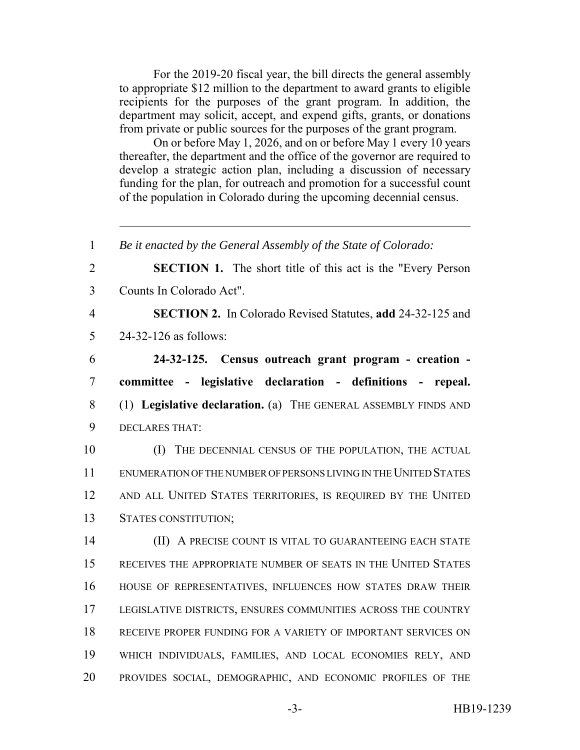For the 2019-20 fiscal year, the bill directs the general assembly to appropriate \$12 million to the department to award grants to eligible recipients for the purposes of the grant program. In addition, the department may solicit, accept, and expend gifts, grants, or donations from private or public sources for the purposes of the grant program.

On or before May 1, 2026, and on or before May 1 every 10 years thereafter, the department and the office of the governor are required to develop a strategic action plan, including a discussion of necessary funding for the plan, for outreach and promotion for a successful count of the population in Colorado during the upcoming decennial census.

 *Be it enacted by the General Assembly of the State of Colorado:* **SECTION 1.** The short title of this act is the "Every Person Counts In Colorado Act". **SECTION 2.** In Colorado Revised Statutes, **add** 24-32-125 and 24-32-126 as follows: **24-32-125. Census outreach grant program - creation - committee - legislative declaration - definitions - repeal.** (1) **Legislative declaration.** (a) THE GENERAL ASSEMBLY FINDS AND DECLARES THAT: 10 (I) THE DECENNIAL CENSUS OF THE POPULATION, THE ACTUAL ENUMERATION OF THE NUMBER OF PERSONS LIVING IN THE UNITED STATES AND ALL UNITED STATES TERRITORIES, IS REQUIRED BY THE UNITED STATES CONSTITUTION; **(II) A PRECISE COUNT IS VITAL TO GUARANTEEING EACH STATE**  RECEIVES THE APPROPRIATE NUMBER OF SEATS IN THE UNITED STATES HOUSE OF REPRESENTATIVES, INFLUENCES HOW STATES DRAW THEIR LEGISLATIVE DISTRICTS, ENSURES COMMUNITIES ACROSS THE COUNTRY RECEIVE PROPER FUNDING FOR A VARIETY OF IMPORTANT SERVICES ON WHICH INDIVIDUALS, FAMILIES, AND LOCAL ECONOMIES RELY, AND PROVIDES SOCIAL, DEMOGRAPHIC, AND ECONOMIC PROFILES OF THE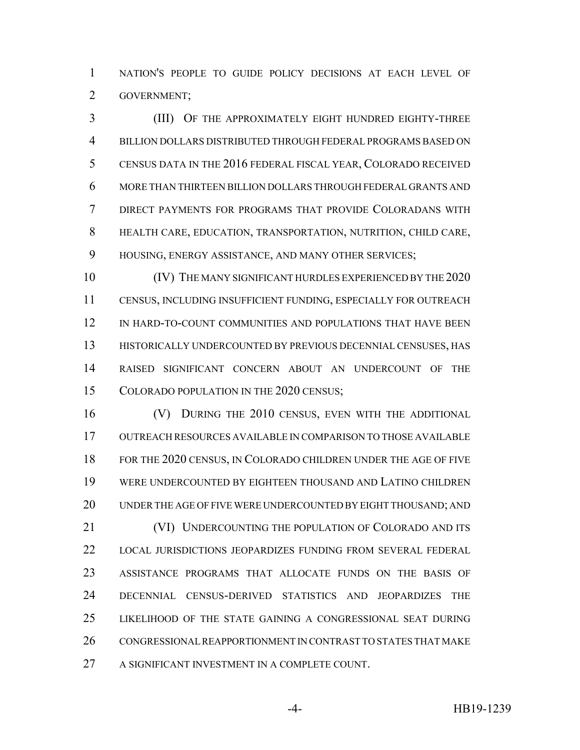NATION'S PEOPLE TO GUIDE POLICY DECISIONS AT EACH LEVEL OF GOVERNMENT;

 (III) OF THE APPROXIMATELY EIGHT HUNDRED EIGHTY-THREE BILLION DOLLARS DISTRIBUTED THROUGH FEDERAL PROGRAMS BASED ON CENSUS DATA IN THE 2016 FEDERAL FISCAL YEAR, COLORADO RECEIVED MORE THAN THIRTEEN BILLION DOLLARS THROUGH FEDERAL GRANTS AND DIRECT PAYMENTS FOR PROGRAMS THAT PROVIDE COLORADANS WITH HEALTH CARE, EDUCATION, TRANSPORTATION, NUTRITION, CHILD CARE, HOUSING, ENERGY ASSISTANCE, AND MANY OTHER SERVICES;

 (IV) THE MANY SIGNIFICANT HURDLES EXPERIENCED BY THE 2020 CENSUS, INCLUDING INSUFFICIENT FUNDING, ESPECIALLY FOR OUTREACH IN HARD-TO-COUNT COMMUNITIES AND POPULATIONS THAT HAVE BEEN HISTORICALLY UNDERCOUNTED BY PREVIOUS DECENNIAL CENSUSES, HAS RAISED SIGNIFICANT CONCERN ABOUT AN UNDERCOUNT OF THE 15 COLORADO POPULATION IN THE 2020 CENSUS;

 (V) DURING THE 2010 CENSUS, EVEN WITH THE ADDITIONAL OUTREACH RESOURCES AVAILABLE IN COMPARISON TO THOSE AVAILABLE FOR THE 2020 CENSUS, IN COLORADO CHILDREN UNDER THE AGE OF FIVE WERE UNDERCOUNTED BY EIGHTEEN THOUSAND AND LATINO CHILDREN UNDER THE AGE OF FIVE WERE UNDERCOUNTED BY EIGHT THOUSAND; AND 21 (VI) UNDERCOUNTING THE POPULATION OF COLORADO AND ITS LOCAL JURISDICTIONS JEOPARDIZES FUNDING FROM SEVERAL FEDERAL ASSISTANCE PROGRAMS THAT ALLOCATE FUNDS ON THE BASIS OF DECENNIAL CENSUS-DERIVED STATISTICS AND JEOPARDIZES THE LIKELIHOOD OF THE STATE GAINING A CONGRESSIONAL SEAT DURING CONGRESSIONAL REAPPORTIONMENT IN CONTRAST TO STATES THAT MAKE A SIGNIFICANT INVESTMENT IN A COMPLETE COUNT.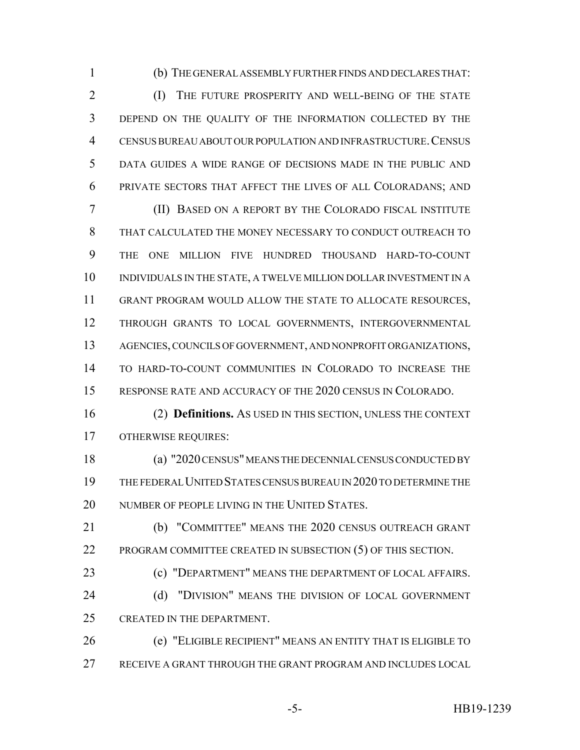(b) THE GENERAL ASSEMBLY FURTHER FINDS AND DECLARES THAT:

2 (I) THE FUTURE PROSPERITY AND WELL-BEING OF THE STATE DEPEND ON THE QUALITY OF THE INFORMATION COLLECTED BY THE CENSUS BUREAU ABOUT OUR POPULATION AND INFRASTRUCTURE.CENSUS DATA GUIDES A WIDE RANGE OF DECISIONS MADE IN THE PUBLIC AND PRIVATE SECTORS THAT AFFECT THE LIVES OF ALL COLORADANS; AND

 (II) BASED ON A REPORT BY THE COLORADO FISCAL INSTITUTE THAT CALCULATED THE MONEY NECESSARY TO CONDUCT OUTREACH TO THE ONE MILLION FIVE HUNDRED THOUSAND HARD-TO-COUNT INDIVIDUALS IN THE STATE, A TWELVE MILLION DOLLAR INVESTMENT IN A GRANT PROGRAM WOULD ALLOW THE STATE TO ALLOCATE RESOURCES, THROUGH GRANTS TO LOCAL GOVERNMENTS, INTERGOVERNMENTAL AGENCIES, COUNCILS OF GOVERNMENT, AND NONPROFIT ORGANIZATIONS, TO HARD-TO-COUNT COMMUNITIES IN COLORADO TO INCREASE THE RESPONSE RATE AND ACCURACY OF THE 2020 CENSUS IN COLORADO.

 (2) **Definitions.** AS USED IN THIS SECTION, UNLESS THE CONTEXT OTHERWISE REQUIRES:

 (a) "2020 CENSUS" MEANS THE DECENNIAL CENSUS CONDUCTED BY THE FEDERAL UNITED STATES CENSUS BUREAU IN 2020 TO DETERMINE THE 20 NUMBER OF PEOPLE LIVING IN THE UNITED STATES.

 (b) "COMMITTEE" MEANS THE 2020 CENSUS OUTREACH GRANT PROGRAM COMMITTEE CREATED IN SUBSECTION (5) OF THIS SECTION.

 (c) "DEPARTMENT" MEANS THE DEPARTMENT OF LOCAL AFFAIRS. 24 (d) "DIVISION" MEANS THE DIVISION OF LOCAL GOVERNMENT

CREATED IN THE DEPARTMENT.

 (e) "ELIGIBLE RECIPIENT" MEANS AN ENTITY THAT IS ELIGIBLE TO RECEIVE A GRANT THROUGH THE GRANT PROGRAM AND INCLUDES LOCAL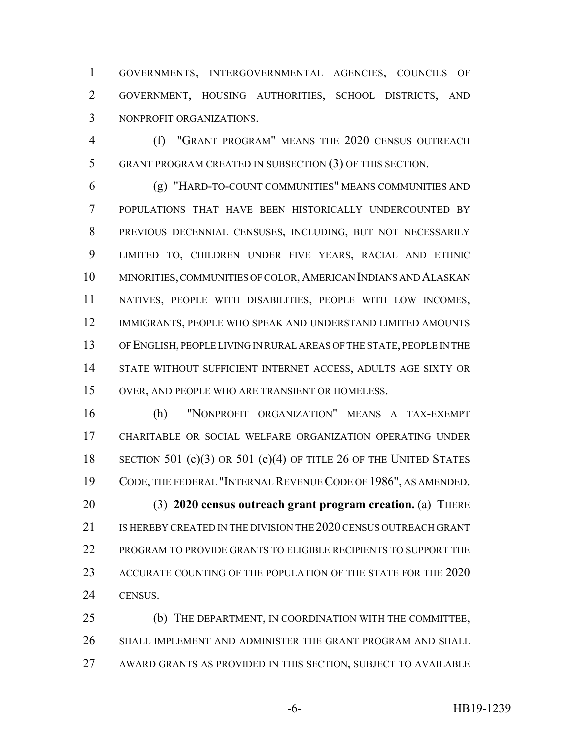GOVERNMENTS, INTERGOVERNMENTAL AGENCIES, COUNCILS OF GOVERNMENT, HOUSING AUTHORITIES, SCHOOL DISTRICTS, AND NONPROFIT ORGANIZATIONS.

 (f) "GRANT PROGRAM" MEANS THE 2020 CENSUS OUTREACH GRANT PROGRAM CREATED IN SUBSECTION (3) OF THIS SECTION.

 (g) "HARD-TO-COUNT COMMUNITIES" MEANS COMMUNITIES AND POPULATIONS THAT HAVE BEEN HISTORICALLY UNDERCOUNTED BY PREVIOUS DECENNIAL CENSUSES, INCLUDING, BUT NOT NECESSARILY LIMITED TO, CHILDREN UNDER FIVE YEARS, RACIAL AND ETHNIC MINORITIES, COMMUNITIES OF COLOR,AMERICAN INDIANS AND ALASKAN NATIVES, PEOPLE WITH DISABILITIES, PEOPLE WITH LOW INCOMES, IMMIGRANTS, PEOPLE WHO SPEAK AND UNDERSTAND LIMITED AMOUNTS OF ENGLISH, PEOPLE LIVING IN RURAL AREAS OF THE STATE, PEOPLE IN THE STATE WITHOUT SUFFICIENT INTERNET ACCESS, ADULTS AGE SIXTY OR OVER, AND PEOPLE WHO ARE TRANSIENT OR HOMELESS.

 (h) "NONPROFIT ORGANIZATION" MEANS A TAX-EXEMPT CHARITABLE OR SOCIAL WELFARE ORGANIZATION OPERATING UNDER 18 SECTION 501 (c)(3) OR 501 (c)(4) OF TITLE 26 OF THE UNITED STATES CODE, THE FEDERAL "INTERNAL REVENUE CODE OF 1986", AS AMENDED. (3) **2020 census outreach grant program creation.** (a) THERE 21 IS HEREBY CREATED IN THE DIVISION THE 2020 CENSUS OUTREACH GRANT PROGRAM TO PROVIDE GRANTS TO ELIGIBLE RECIPIENTS TO SUPPORT THE ACCURATE COUNTING OF THE POPULATION OF THE STATE FOR THE 2020 CENSUS.

 (b) THE DEPARTMENT, IN COORDINATION WITH THE COMMITTEE, SHALL IMPLEMENT AND ADMINISTER THE GRANT PROGRAM AND SHALL AWARD GRANTS AS PROVIDED IN THIS SECTION, SUBJECT TO AVAILABLE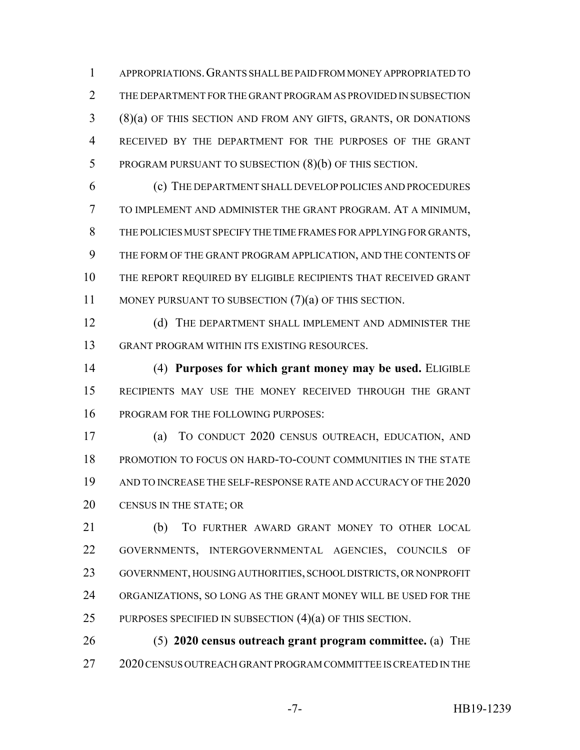APPROPRIATIONS.GRANTS SHALL BE PAID FROM MONEY APPROPRIATED TO THE DEPARTMENT FOR THE GRANT PROGRAM AS PROVIDED IN SUBSECTION (8)(a) OF THIS SECTION AND FROM ANY GIFTS, GRANTS, OR DONATIONS RECEIVED BY THE DEPARTMENT FOR THE PURPOSES OF THE GRANT PROGRAM PURSUANT TO SUBSECTION (8)(b) OF THIS SECTION.

 (c) THE DEPARTMENT SHALL DEVELOP POLICIES AND PROCEDURES TO IMPLEMENT AND ADMINISTER THE GRANT PROGRAM. AT A MINIMUM, THE POLICIES MUST SPECIFY THE TIME FRAMES FOR APPLYING FOR GRANTS, THE FORM OF THE GRANT PROGRAM APPLICATION, AND THE CONTENTS OF THE REPORT REQUIRED BY ELIGIBLE RECIPIENTS THAT RECEIVED GRANT 11 MONEY PURSUANT TO SUBSECTION (7)(a) OF THIS SECTION.

12 (d) THE DEPARTMENT SHALL IMPLEMENT AND ADMINISTER THE GRANT PROGRAM WITHIN ITS EXISTING RESOURCES.

 (4) **Purposes for which grant money may be used.** ELIGIBLE RECIPIENTS MAY USE THE MONEY RECEIVED THROUGH THE GRANT 16 PROGRAM FOR THE FOLLOWING PURPOSES:

 (a) TO CONDUCT 2020 CENSUS OUTREACH, EDUCATION, AND PROMOTION TO FOCUS ON HARD-TO-COUNT COMMUNITIES IN THE STATE AND TO INCREASE THE SELF-RESPONSE RATE AND ACCURACY OF THE 2020 CENSUS IN THE STATE; OR

 (b) TO FURTHER AWARD GRANT MONEY TO OTHER LOCAL GOVERNMENTS, INTERGOVERNMENTAL AGENCIES, COUNCILS OF GOVERNMENT, HOUSING AUTHORITIES, SCHOOL DISTRICTS, OR NONPROFIT ORGANIZATIONS, SO LONG AS THE GRANT MONEY WILL BE USED FOR THE 25 PURPOSES SPECIFIED IN SUBSECTION  $(4)(a)$  OF THIS SECTION.

 (5) **2020 census outreach grant program committee.** (a) THE 2020 CENSUS OUTREACH GRANT PROGRAM COMMITTEE IS CREATED IN THE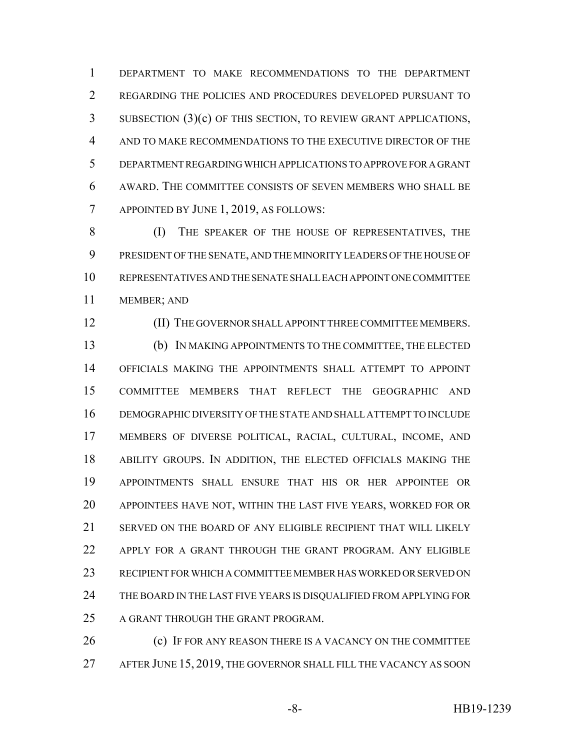DEPARTMENT TO MAKE RECOMMENDATIONS TO THE DEPARTMENT REGARDING THE POLICIES AND PROCEDURES DEVELOPED PURSUANT TO SUBSECTION (3)(c) OF THIS SECTION, TO REVIEW GRANT APPLICATIONS, AND TO MAKE RECOMMENDATIONS TO THE EXECUTIVE DIRECTOR OF THE DEPARTMENT REGARDING WHICH APPLICATIONS TO APPROVE FOR A GRANT AWARD. THE COMMITTEE CONSISTS OF SEVEN MEMBERS WHO SHALL BE APPOINTED BY JUNE 1, 2019, AS FOLLOWS:

 (I) THE SPEAKER OF THE HOUSE OF REPRESENTATIVES, THE PRESIDENT OF THE SENATE, AND THE MINORITY LEADERS OF THE HOUSE OF REPRESENTATIVES AND THE SENATE SHALL EACH APPOINT ONE COMMITTEE MEMBER; AND

(II) THE GOVERNOR SHALL APPOINT THREE COMMITTEE MEMBERS.

 (b) IN MAKING APPOINTMENTS TO THE COMMITTEE, THE ELECTED OFFICIALS MAKING THE APPOINTMENTS SHALL ATTEMPT TO APPOINT COMMITTEE MEMBERS THAT REFLECT THE GEOGRAPHIC AND DEMOGRAPHIC DIVERSITY OF THE STATE AND SHALL ATTEMPT TO INCLUDE MEMBERS OF DIVERSE POLITICAL, RACIAL, CULTURAL, INCOME, AND ABILITY GROUPS. IN ADDITION, THE ELECTED OFFICIALS MAKING THE APPOINTMENTS SHALL ENSURE THAT HIS OR HER APPOINTEE OR APPOINTEES HAVE NOT, WITHIN THE LAST FIVE YEARS, WORKED FOR OR SERVED ON THE BOARD OF ANY ELIGIBLE RECIPIENT THAT WILL LIKELY APPLY FOR A GRANT THROUGH THE GRANT PROGRAM. ANY ELIGIBLE RECIPIENT FOR WHICH A COMMITTEE MEMBER HAS WORKED OR SERVED ON THE BOARD IN THE LAST FIVE YEARS IS DISQUALIFIED FROM APPLYING FOR 25 A GRANT THROUGH THE GRANT PROGRAM.

**(c)** IF FOR ANY REASON THERE IS A VACANCY ON THE COMMITTEE AFTER JUNE 15, 2019, THE GOVERNOR SHALL FILL THE VACANCY AS SOON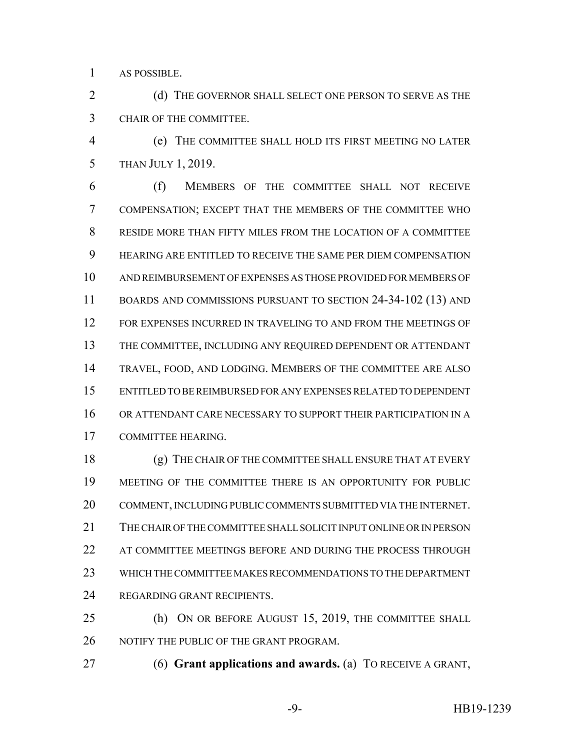AS POSSIBLE.

2 (d) THE GOVERNOR SHALL SELECT ONE PERSON TO SERVE AS THE CHAIR OF THE COMMITTEE.

 (e) THE COMMITTEE SHALL HOLD ITS FIRST MEETING NO LATER THAN JULY 1, 2019.

 (f) MEMBERS OF THE COMMITTEE SHALL NOT RECEIVE COMPENSATION; EXCEPT THAT THE MEMBERS OF THE COMMITTEE WHO RESIDE MORE THAN FIFTY MILES FROM THE LOCATION OF A COMMITTEE HEARING ARE ENTITLED TO RECEIVE THE SAME PER DIEM COMPENSATION AND REIMBURSEMENT OF EXPENSES AS THOSE PROVIDED FOR MEMBERS OF BOARDS AND COMMISSIONS PURSUANT TO SECTION 24-34-102 (13) AND FOR EXPENSES INCURRED IN TRAVELING TO AND FROM THE MEETINGS OF THE COMMITTEE, INCLUDING ANY REQUIRED DEPENDENT OR ATTENDANT TRAVEL, FOOD, AND LODGING. MEMBERS OF THE COMMITTEE ARE ALSO ENTITLED TO BE REIMBURSED FOR ANY EXPENSES RELATED TO DEPENDENT OR ATTENDANT CARE NECESSARY TO SUPPORT THEIR PARTICIPATION IN A COMMITTEE HEARING.

 (g) THE CHAIR OF THE COMMITTEE SHALL ENSURE THAT AT EVERY MEETING OF THE COMMITTEE THERE IS AN OPPORTUNITY FOR PUBLIC COMMENT, INCLUDING PUBLIC COMMENTS SUBMITTED VIA THE INTERNET. THE CHAIR OF THE COMMITTEE SHALL SOLICIT INPUT ONLINE OR IN PERSON 22 AT COMMITTEE MEETINGS BEFORE AND DURING THE PROCESS THROUGH WHICH THE COMMITTEE MAKES RECOMMENDATIONS TO THE DEPARTMENT REGARDING GRANT RECIPIENTS.

25 (h) ON OR BEFORE AUGUST 15, 2019, THE COMMITTEE SHALL NOTIFY THE PUBLIC OF THE GRANT PROGRAM.

(6) **Grant applications and awards.** (a) TO RECEIVE A GRANT,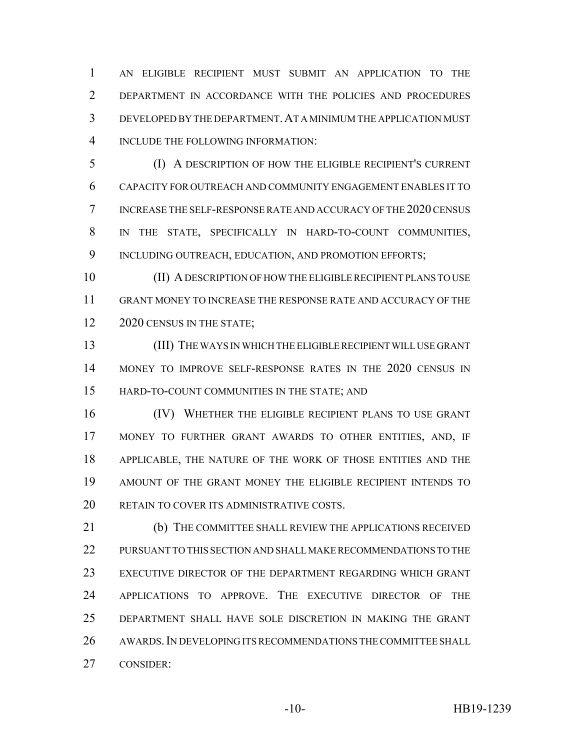AN ELIGIBLE RECIPIENT MUST SUBMIT AN APPLICATION TO THE DEPARTMENT IN ACCORDANCE WITH THE POLICIES AND PROCEDURES DEVELOPED BY THE DEPARTMENT.AT A MINIMUM THE APPLICATION MUST INCLUDE THE FOLLOWING INFORMATION:

 (I) A DESCRIPTION OF HOW THE ELIGIBLE RECIPIENT'S CURRENT CAPACITY FOR OUTREACH AND COMMUNITY ENGAGEMENT ENABLES IT TO INCREASE THE SELF-RESPONSE RATE AND ACCURACY OF THE 2020 CENSUS IN THE STATE, SPECIFICALLY IN HARD-TO-COUNT COMMUNITIES, 9 INCLUDING OUTREACH, EDUCATION, AND PROMOTION EFFORTS;

 (II) A DESCRIPTION OF HOW THE ELIGIBLE RECIPIENT PLANS TO USE GRANT MONEY TO INCREASE THE RESPONSE RATE AND ACCURACY OF THE 12 2020 CENSUS IN THE STATE;

 (III) THE WAYS IN WHICH THE ELIGIBLE RECIPIENT WILL USE GRANT MONEY TO IMPROVE SELF-RESPONSE RATES IN THE 2020 CENSUS IN HARD-TO-COUNT COMMUNITIES IN THE STATE; AND

 (IV) WHETHER THE ELIGIBLE RECIPIENT PLANS TO USE GRANT MONEY TO FURTHER GRANT AWARDS TO OTHER ENTITIES, AND, IF APPLICABLE, THE NATURE OF THE WORK OF THOSE ENTITIES AND THE AMOUNT OF THE GRANT MONEY THE ELIGIBLE RECIPIENT INTENDS TO 20 RETAIN TO COVER ITS ADMINISTRATIVE COSTS.

 (b) THE COMMITTEE SHALL REVIEW THE APPLICATIONS RECEIVED PURSUANT TO THIS SECTION AND SHALL MAKE RECOMMENDATIONS TO THE EXECUTIVE DIRECTOR OF THE DEPARTMENT REGARDING WHICH GRANT APPLICATIONS TO APPROVE. THE EXECUTIVE DIRECTOR OF THE DEPARTMENT SHALL HAVE SOLE DISCRETION IN MAKING THE GRANT 26 AWARDS. IN DEVELOPING ITS RECOMMENDATIONS THE COMMITTEE SHALL CONSIDER: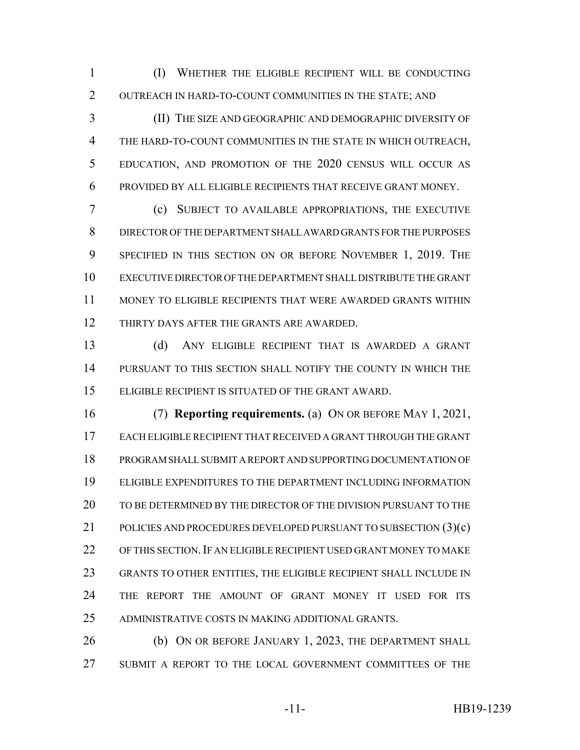(I) WHETHER THE ELIGIBLE RECIPIENT WILL BE CONDUCTING OUTREACH IN HARD-TO-COUNT COMMUNITIES IN THE STATE; AND

 (II) THE SIZE AND GEOGRAPHIC AND DEMOGRAPHIC DIVERSITY OF THE HARD-TO-COUNT COMMUNITIES IN THE STATE IN WHICH OUTREACH, EDUCATION, AND PROMOTION OF THE 2020 CENSUS WILL OCCUR AS PROVIDED BY ALL ELIGIBLE RECIPIENTS THAT RECEIVE GRANT MONEY.

 (c) SUBJECT TO AVAILABLE APPROPRIATIONS, THE EXECUTIVE DIRECTOR OF THE DEPARTMENT SHALL AWARD GRANTS FOR THE PURPOSES 9 SPECIFIED IN THIS SECTION ON OR BEFORE NOVEMBER 1, 2019. THE EXECUTIVE DIRECTOR OF THE DEPARTMENT SHALL DISTRIBUTE THE GRANT MONEY TO ELIGIBLE RECIPIENTS THAT WERE AWARDED GRANTS WITHIN THIRTY DAYS AFTER THE GRANTS ARE AWARDED.

 (d) ANY ELIGIBLE RECIPIENT THAT IS AWARDED A GRANT PURSUANT TO THIS SECTION SHALL NOTIFY THE COUNTY IN WHICH THE ELIGIBLE RECIPIENT IS SITUATED OF THE GRANT AWARD.

 (7) **Reporting requirements.** (a) ON OR BEFORE MAY 1, 2021, EACH ELIGIBLE RECIPIENT THAT RECEIVED A GRANT THROUGH THE GRANT PROGRAM SHALL SUBMIT A REPORT AND SUPPORTING DOCUMENTATION OF ELIGIBLE EXPENDITURES TO THE DEPARTMENT INCLUDING INFORMATION TO BE DETERMINED BY THE DIRECTOR OF THE DIVISION PURSUANT TO THE 21 POLICIES AND PROCEDURES DEVELOPED PURSUANT TO SUBSECTION (3)(c) 22 OF THIS SECTION. IF AN ELIGIBLE RECIPIENT USED GRANT MONEY TO MAKE GRANTS TO OTHER ENTITIES, THE ELIGIBLE RECIPIENT SHALL INCLUDE IN THE REPORT THE AMOUNT OF GRANT MONEY IT USED FOR ITS ADMINISTRATIVE COSTS IN MAKING ADDITIONAL GRANTS.

**(b)** ON OR BEFORE JANUARY 1, 2023, THE DEPARTMENT SHALL SUBMIT A REPORT TO THE LOCAL GOVERNMENT COMMITTEES OF THE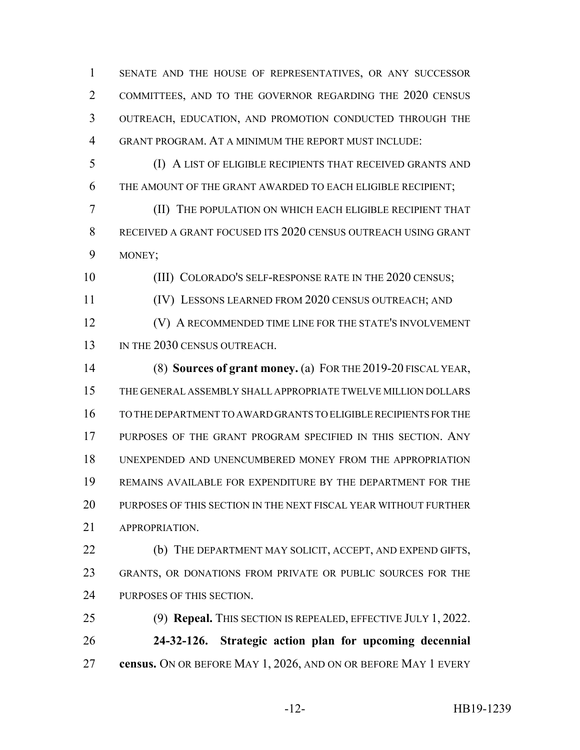SENATE AND THE HOUSE OF REPRESENTATIVES, OR ANY SUCCESSOR COMMITTEES, AND TO THE GOVERNOR REGARDING THE 2020 CENSUS OUTREACH, EDUCATION, AND PROMOTION CONDUCTED THROUGH THE GRANT PROGRAM. AT A MINIMUM THE REPORT MUST INCLUDE:

 (I) A LIST OF ELIGIBLE RECIPIENTS THAT RECEIVED GRANTS AND THE AMOUNT OF THE GRANT AWARDED TO EACH ELIGIBLE RECIPIENT;

 (II) THE POPULATION ON WHICH EACH ELIGIBLE RECIPIENT THAT RECEIVED A GRANT FOCUSED ITS 2020 CENSUS OUTREACH USING GRANT MONEY;

10 (III) COLORADO'S SELF-RESPONSE RATE IN THE 2020 CENSUS;

(IV) LESSONS LEARNED FROM 2020 CENSUS OUTREACH; AND

**(V) A RECOMMENDED TIME LINE FOR THE STATE'S INVOLVEMENT** 13 IN THE 2030 CENSUS OUTREACH.

 (8) **Sources of grant money.** (a) FOR THE 2019-20 FISCAL YEAR, THE GENERAL ASSEMBLY SHALL APPROPRIATE TWELVE MILLION DOLLARS TO THE DEPARTMENT TO AWARD GRANTS TO ELIGIBLE RECIPIENTS FOR THE PURPOSES OF THE GRANT PROGRAM SPECIFIED IN THIS SECTION. ANY UNEXPENDED AND UNENCUMBERED MONEY FROM THE APPROPRIATION REMAINS AVAILABLE FOR EXPENDITURE BY THE DEPARTMENT FOR THE PURPOSES OF THIS SECTION IN THE NEXT FISCAL YEAR WITHOUT FURTHER APPROPRIATION.

 (b) THE DEPARTMENT MAY SOLICIT, ACCEPT, AND EXPEND GIFTS, GRANTS, OR DONATIONS FROM PRIVATE OR PUBLIC SOURCES FOR THE PURPOSES OF THIS SECTION.

 (9) **Repeal.** THIS SECTION IS REPEALED, EFFECTIVE JULY 1, 2022. **24-32-126. Strategic action plan for upcoming decennial census.** ON OR BEFORE MAY 1, 2026, AND ON OR BEFORE MAY 1 EVERY